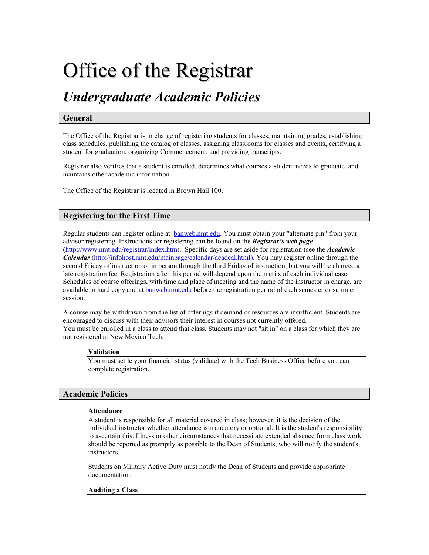# Office of the Registrar

# *Undergraduate Academic Policies*

# **General**

The Office of the Registrar is in charge of registering students for classes, maintaining grades, establishing class schedules, publishing the catalog of classes, assigning classrooms for classes and events, certifying a student for graduation, organizing Commencement, and providing transcripts.

Registrar also verifies that a student is enrolled, determines what courses a student needs to graduate, and maintains other academic information.

The Office of the Registrar is located in Brown Hall 100.

# **Registering for the First Time**

Regular students can register online at **[banweb.nmt.edu](http://banweb.nmt.edu/).** You must obtain your "alternate pin" from your advisor registering. Instructions for registering can be found on the *Registrar's web page* (http://www.nmt.edu/registrar/index.htm). Specific days are set aside for registration (see the *Academic Calendar* [\(http://infohost.nmt.edu/mainpage/calendar/acadcal.html\)](http://infohost.nmt.edu/mainpage/calendar/acadcal.html)). You may register online through the second Friday of instruction or in person through the third Friday of instruction, but you will be charged a late registration fee. Registration after this period will depend upon the merits of each individual case. Schedules of course offerings, with time and place of meeting and the name of the instructor in charge, are available in hard copy and at [banweb.nmt.edu](http://banweb.nmt.edu/) before the registration period of each semester or summer session.

A course may be withdrawn from the list of offerings if demand or resources are insufficient. Students are encouraged to discuss with their advisors their interest in courses not currently offered. You must be enrolled in a class to attend that class. Students may not "sit in" on a class for which they are not registered at New Mexico Tech.

#### **Validation**

You must settle your financial status (validate) with the Tech Business Office before you can complete registration.

#### **Academic Policies**

#### **Attendance**

A student is responsible for all material covered in class; however, it is the decision of the individual instructor whether attendance is mandatory or optional. It is the student's responsibility to ascertain this. Illness or other circumstances that necessitate extended absence from class work should be reported as promptly as possible to the Dean of Students, who will notify the student's instructors.

Students on Military Active Duty must notify the Dean of Students and provide appropriate documentation.

#### **Auditing a Class**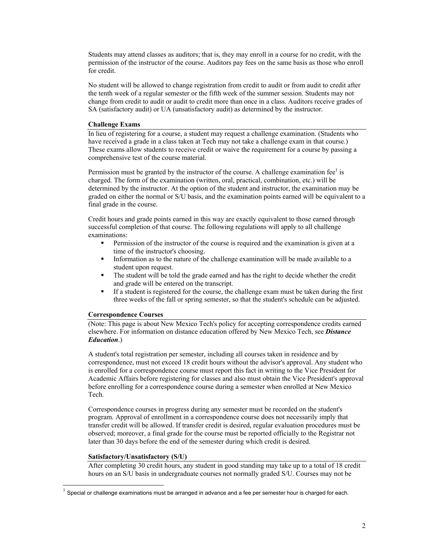Students may attend classes as auditors; that is, they may enroll in a course for no credit, with the permission of the instructor of the course. Auditors pay fees on the same basis as those who enroll for credit.

No student will be allowed to change registration from credit to audit or from audit to credit after the tenth week of a regular semester or the fifth week of the summer session. Students may not change from credit to audit or audit to credit more than once in a class. Auditors receive grades of SA (satisfactory audit) or UA (unsatisfactory audit) as determined by the instructor.

# **Challenge Exams**

In lieu of registering for a course, a student may request a challenge examination. (Students who have received a grade in a class taken at Tech may not take a challenge exam in that course.) These exams allow students to receive credit or waive the requirement for a course by passing a comprehensive test of the course material.

Permission must be granted by the instructor of the course. A challenge examination fee $\textsuperscript{1}$  $\textsuperscript{1}$  $\textsuperscript{1}$  is charged. The form of the examination (written, oral, practical, combination, etc.) will be determined by the instructor. At the option of the student and instructor, the examination may be graded on either the normal or S/U basis, and the examination points earned will be equivalent to a final grade in the course.

Credit hours and grade points earned in this way are exactly equivalent to those earned through successful completion of that course. The following regulations will apply to all challenge examinations:

- Permission of the instructor of the course is required and the examination is given at a time of the instructor's choosing.
- Information as to the nature of the challenge examination will be made available to a student upon request.
- The student will be told the grade earned and has the right to decide whether the credit and grade will be entered on the transcript.
- If a student is registered for the course, the challenge exam must be taken during the first three weeks of the fall or spring semester, so that the student's schedule can be adjusted.

#### **Correspondence Courses**

(Note: This page is about New Mexico Tech's policy for accepting correspondence credits earned elsewhere. For information on distance education offered by New Mexico Tech, see *Distance Education*.)

A student's total registration per semester, including all courses taken in residence and by correspondence, must not exceed 18 credit hours without the advisor's approval. Any student who is enrolled for a correspondence course must report this fact in writing to the Vice President for Academic Affairs before registering for classes and also must obtain the Vice President's approval before enrolling for a correspondence course during a semester when enrolled at New Mexico Tech.

Correspondence courses in progress during any semester must be recorded on the student's program. Approval of enrollment in a correspondence course does not necessarily imply that transfer credit will be allowed. If transfer credit is desired, regular evaluation procedures must be observed; moreover, a final grade for the course must be reported officially to the Registrar not later than 30 days before the end of the semester during which credit is desired.

#### **Satisfactory/Unsatisfactory (S/U)**

After completing 30 credit hours, any student in good standing may take up to a total of 18 credit hours on an S/U basis in undergraduate courses not normally graded S/U. Courses may not be

<span id="page-1-0"></span> $1$  Special or challenge examinations must be arranged in advance and a fee per semester hour is charged for each.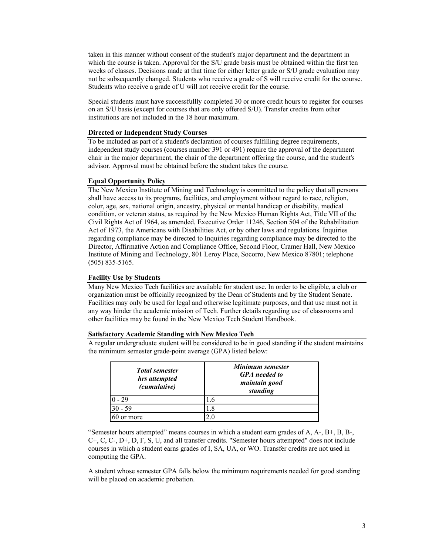taken in this manner without consent of the student's major department and the department in which the course is taken. Approval for the S/U grade basis must be obtained within the first ten weeks of classes. Decisions made at that time for either letter grade or S/U grade evaluation may not be subsequently changed. Students who receive a grade of S will receive credit for the course. Students who receive a grade of U will not receive credit for the course.

Special students must have successfullly completed 30 or more credit hours to register for courses on an S/U basis (except for courses that are only offered S/U). Transfer credits from other institutions are not included in the 18 hour maximum.

#### **Directed or Independent Study Courses**

To be included as part of a student's declaration of courses fulfilling degree requirements, independent study courses (courses number 391 or 491) require the approval of the department chair in the major department, the chair of the department offering the course, and the student's advisor. Approval must be obtained before the student takes the course.

#### **Equal Opportunity Policy**

The New Mexico Institute of Mining and Technology is committed to the policy that all persons shall have access to its programs, facilities, and employment without regard to race, religion, color, age, sex, national origin, ancestry, physical or mental handicap or disability, medical condition, or veteran status, as required by the New Mexico Human Rights Act, Title VII of the Civil Rights Act of 1964, as amended, Executive Order 11246, Section 504 of the Rehabilitation Act of 1973, the Americans with Disabilities Act, or by other laws and regulations. Inquiries regarding compliance may be directed to Inquiries regarding compliance may be directed to the Director, Affirmative Action and Compliance Office, Second Floor, Cramer Hall, New Mexico Institute of Mining and Technology, 801 Leroy Place, Socorro, New Mexico 87801; telephone (505) 835-5165.

#### **Facility Use by Students**

Many New Mexico Tech facilities are available for student use. In order to be eligible, a club or organization must be officially recognized by the Dean of Students and by the Student Senate. Facilities may only be used for legal and otherwise legitimate purposes, and that use must not in any way hinder the academic mission of Tech. Further details regarding use of classrooms and other facilities may be found in the New Mexico Tech Student Handbook.

#### **Satisfactory Academic Standing with New Mexico Tech**

A regular undergraduate student will be considered to be in good standing if the student maintains the minimum semester grade-point average (GPA) listed below:

| <b>Total semester</b><br>hrs attempted<br>(cumulative) | Minimum semester<br><b>GPA</b> needed to<br>maintain good<br>standing |
|--------------------------------------------------------|-----------------------------------------------------------------------|
| $-29$                                                  | l.6                                                                   |
| $30 - 59$                                              | 1.8                                                                   |
| or more                                                | 20                                                                    |

"Semester hours attempted" means courses in which a student earn grades of  $A, A-, B+, B, B-,$ C+, C, C-, D+, D, F, S, U, and all transfer credits. "Semester hours attempted" does not include courses in which a student earns grades of I, SA, UA, or WO. Transfer credits are not used in computing the GPA.

A student whose semester GPA falls below the minimum requirements needed for good standing will be placed on academic probation.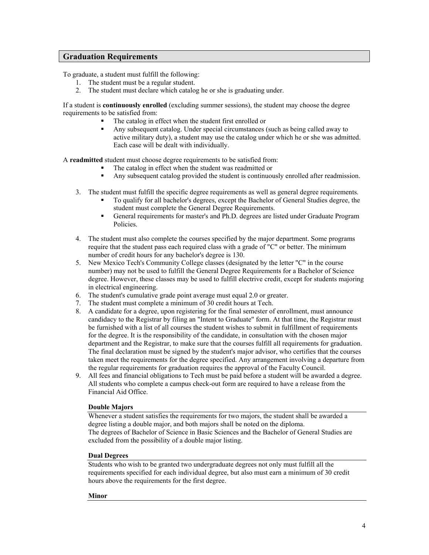# **Graduation Requirements**

To graduate, a student must fulfill the following:

- 1. The student must be a regular student.
- 2. The student must declare which catalog he or she is graduating under.

If a student is **continuously enrolled** (excluding summer sessions), the student may choose the degree requirements to be satisfied from:

- The catalog in effect when the student first enrolled or
- Any subsequent catalog. Under special circumstances (such as being called away to active military duty), a student may use the catalog under which he or she was admitted. Each case will be dealt with individually.

A **readmitted** student must choose degree requirements to be satisfied from:

- The catalog in effect when the student was readmitted or
- Any subsequent catalog provided the student is continuously enrolled after readmission.
- 3. The student must fulfill the specific degree requirements as well as general degree requirements.
	- To qualify for all bachelor's degrees, except the [Bachelor of General Studies](http://infohost.nmt.edu/mainpage/depts/gens.html) degree, the student must complete the General [Degree Requirements](http://infohost.nmt.edu/mainpage/uginfo/gendeg.html).
	- General requirements for master's and Ph.D. degrees are listed under [Graduate Program](http://infohost.nmt.edu/mainpage/gradinfo/grad4.html)   [Policies.](http://infohost.nmt.edu/mainpage/gradinfo/grad4.html)
- 4. The student must also complete the courses specified by the major department. Some programs require that the student pass each required class with a grade of "C" or better. The minimum number of credit hours for any bachelor's degree is 130.
- 5. New Mexico Tech's Community College classes (designated by the letter "C" in the course number) may not be used to fulfill the [General Degree Requirements](http://infohost.nmt.edu/mainpage/uginfo/gendeg.html) for a Bachelor of Science degree. However, these classes may be used to fulfill electrive credit, except for students majoring in electrical engineering.
- 6. The student's cumulative grade point average must equal 2.0 or greater.
- 7. The student must complete a minimum of 30 credit hours at Tech.
- 8. A candidate for a degree, upon registering for the final semester of enrollment, must announce candidacy to the Registrar by filing an "Intent to Graduate" form. At that time, the Registrar must be furnished with a list of all courses the student wishes to submit in fulfillment of requirements for the degree. It is the responsibility of the candidate, in consultation with the chosen major department and the Registrar, to make sure that the courses fulfill all requirements for graduation. The final declaration must be signed by the student's major advisor, who certifies that the courses taken meet the requirements for the degree specified. Any arrangement involving a departure from the regular requirements for graduation requires the approval of the Faculty Council.
- 9. All fees and financial obligations to Tech must be paid before a student will be awarded a degree. All students who complete a campus check-out form are required to have a release from the Financial Aid Office.

#### **Double Majors**

Whenever a student satisfies the requirements for two majors, the student shall be awarded a degree listing a double major, and both majors shall be noted on the diploma. The degrees of Bachelor [of Science in Basic Sciences](http://infohost.nmt.edu/mainpage/depts/basi/homepage.html) and the [Bachelor of General Studies](http://infohost.nmt.edu/mainpage/depts/gens.html) are excluded from the possibility of a double major listing.

#### **Dual Degrees**

Students who wish to be granted two undergraduate degrees not only must fulfill all the requirements specified for each individual degree, but also must earn a minimum of 30 credit hours above the requirements for the first degree.

#### **Minor**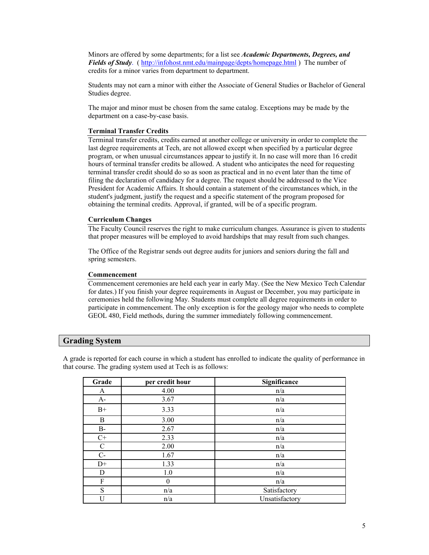Minors are offered by some departments; for a list see *Academic Departments, Degrees, and Fields of Study*. ( h[ttp://infohost.nmt.edu/mainpage/depts/homepage.html](http://infohost.nmt.edu/mainpage/depts/homepage.html) ) The number of credits for a minor varies from department to department.

Students may not earn a minor with either the Associate of General Studies or Bachelor of General Studies degree.

The major and minor must be chosen from the same catalog. Exceptions may be made by the department on a case-by-case basis.

#### **Terminal Transfer Credits**

Terminal transfer credits, credits earned at another college or university in order to complete the last degree requirements at Tech, are not allowed except when specified by a particular degree program, or when unusual circumstances appear to justify it. In no case will more than 16 credit hours of terminal transfer credits be allowed. A student who anticipates the need for requesting terminal transfer credit should do so as soon as practical and in no event later than the time of filing the declaration of candidacy for a degree. The request should be addressed to the Vice President for Academic Affairs. It should contain a statement of the circumstances which, in the student's judgment, justify the request and a specific statement of the program proposed for obtaining the terminal credits. Approval, if granted, will be of a specific program.

#### **Curriculum Changes**

The Faculty Council reserves the right to make curriculum changes. Assurance is given to students that proper measures will be employed to avoid hardships that may result from such changes.

The Office of the Registrar sends out degree audits for juniors and seniors during the fall and spring semesters.

#### **Commencement**

Commencement ceremonies are held each year in early May. (See the [New Mexico Tech Calendar](http://infohost.nmt.edu/mainpage/calendar/mastercal.html) for dates.) If you finish your degree requirements in August or December, you may participate in ceremonies held the following May. Students must complete all degree requirements in order to participate in commencement. The only exception is for the geology major who needs to complete GEOL [480, Field methods,](http://infohost.nmt.edu/mainpage/catalog/courses/geol400.html) during the summer immediately following commencement.

#### **Grading System**

A grade is reported for each course in which a student has enrolled to indicate the quality of performance in that course. The grading system used at Tech is as follows:

| Grade       | per credit hour  | Significance   |  |
|-------------|------------------|----------------|--|
| A           | 4.00             | n/a            |  |
| $A-$        | 3.67             | n/a            |  |
| $B+$        | 3.33             | n/a            |  |
| B           | 3.00             | n/a            |  |
| B-          | 2.67             | n/a            |  |
| $C+$        | 2.33             | n/a            |  |
| $\mathbf C$ | 2.00             | n/a            |  |
| $C-$        | 1.67             | n/a            |  |
| $D+$        | 1.33             | n/a            |  |
| D           | 1.0              | n/a            |  |
| F           | $\boldsymbol{0}$ | n/a            |  |
| S           | n/a              | Satisfactory   |  |
| U           | n/a              | Unsatisfactory |  |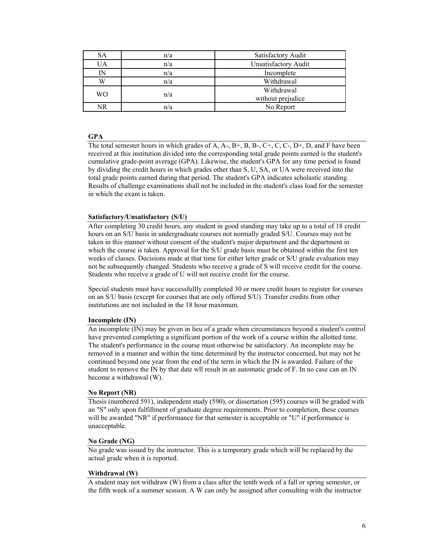| SА | n/a | Satisfactory Audit          |  |
|----|-----|-----------------------------|--|
| UA | n/a | <b>Unsatisfactory Audit</b> |  |
| IN | n/a | Incomplete                  |  |
| W  | n/a | Withdrawal                  |  |
| WО | n/a | Withdrawal                  |  |
|    |     | without prejudice           |  |
| NR | n/a | No Report                   |  |

#### **GPA**

The total semester hours in which grades of A,  $A_1$ ,  $B_2$ ,  $B_3$ ,  $C_1$ ,  $C_2$ ,  $D_2$ ,  $D_3$ ,  $D_4$ ,  $D_5$  and F have been received at this institution divided into the corresponding total grade points earned is the student's cumulative grade-point average (GPA). Likewise, the student's GPA for any time period is found by dividing the credit hours in which grades other than S, U, SA, or UA were received into the total grade points earned during that period. The student's GPA indicates scholastic standing. Results of challenge examinations shall not be included in the student's class load for the semester in which the exam is taken.

#### **Satisfactory/Unsatisfactory (S/U)**

After completing 30 credit hours, any student in good standing may take up to a total of 18 credit hours on an S/U basis in undergraduate courses not normally graded S/U. Courses may not be taken in this manner without consent of the student's major department and the department in which the course is taken. Approval for the S/U grade basis must be obtained within the first ten weeks of classes. Decisions made at that time for either letter grade or S/U grade evaluation may not be subsequently changed. Students who receive a grade of S will receive credit for the course. Students who receive a grade of U will not receive credit for the course.

Special students must have successfullly completed 30 or more credit hours to register for courses on an S/U basis (except for courses that are only offered S/U). Transfer credits from other institutions are not included in the 18 hour maximum.

#### **Incomplete (IN)**

An incomplete (IN) may be given in lieu of a grade when circumstances beyond a student's control have prevented completing a significant portion of the work of a course within the allotted time. The student's performance in the course must otherwise be satisfactory. An incomplete may be removed in a manner and within the time determined by the instructor concerned, but may not be continued beyond one year from the end of the term in which the IN is awarded. Failure of the student to remove the IN by that date wll result in an automatic grade of F. In no case can an IN become a withdrawal (W).

#### **No Report (NR)**

Thesis (numbered 591), independent study (590), or dissertation (595) courses will be graded with an "S" only upon fulfillment of graduate degree requirements. Prior to completion, these courses will be awarded "NR" if performance for that semester is acceptable or "U" if performance is unacceptable.

#### **No Grade (NG)**

No grade was issued by the instructor. This is a temporary grade which will be replaced by the actual grade when it is reported.

#### **Withdrawal (W)**

A student may not withdraw (W) from a class after the tenth week of a fall or spring semester, or the fifth week of a summer session. A W can only be assigned after consulting with the instructor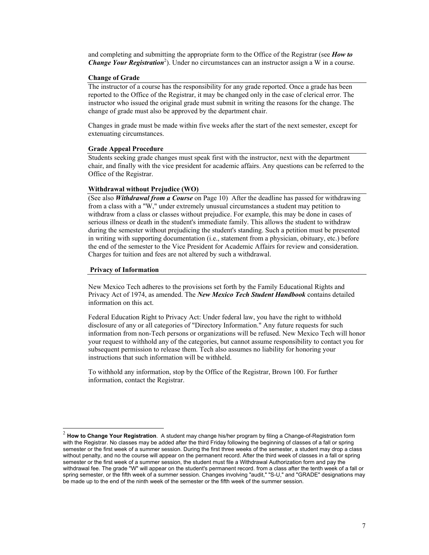and completing and submitting the appropriate form to the Office of the Registrar (see *How to*  **Change Your Registration**<sup>[2](#page-6-0)</sup>). Under no circumstances can an instructor assign a W in a course.

#### **Change of Grade**

The instructor of a course has the responsibility for any grade reported. Once a grade has been reported to the Office of the Registrar, it may be changed only in the case of clerical error. The instructor who issued the original grade must submit in writing the reasons for the change. The change of grade must also be approved by the department chair.

Changes in grade must be made within five weeks after the start of the next semester, except for extenuating circumstances.

#### **Grade Appeal Procedure**

Students seeking grade changes must speak first with the instructor, next with the department chair, and finally with the vice president for academic affairs. Any questions can be referred to the Office of the Registrar.

#### **Withdrawal without Prejudice (WO)**

(See also *Withdrawal from a Course* on Page 10) After the deadline has passed for withdrawing from a class with a "W," under extremely unusual circumstances a student may petition to withdraw from a class or classes without prejudice. For example, this may be done in cases of serious illness or death in the student's immediate family. This allows the student to withdraw during the semester without prejudicing the student's standing. Such a petition must be presented in writing with supporting documentation (i.e., statement from a physician, obituary, etc.) before the end of the semester to the Vice President for Academic Affairs for review and consideration. Charges for tuition and fees are not altered by such a withdrawal.

#### **Privacy of Information**

New Mexico Tech adheres to the provisions set forth by the Family Educational Rights and Privacy Act of 1974, as amended. The *New Mexico Tech Student Handbook* contains detailed information on this act.

Federal Education Right to Privacy Act: Under federal law, you have the right to withhold disclosure of any or all categories of "Directory Information." Any future requests for such information from non-Tech persons or organizations will be refused. New Mexico Tech will honor your request to withhold any of the categories, but cannot assume responsibility to contact you for subsequent permission to release them. Tech also assumes no liability for honoring your instructions that such information will be withheld.

To withhold any information, stop by the Office of the Registrar, Brown 100. For further information, contact [the Registrar.](mailto:registrar@admin.nmt.edu) 

<span id="page-6-0"></span> <sup>2</sup> **How to Change Your Registration**. A student may change his/her program by filing a Change-of-Registration form with the Registrar. No classes may be added after the third Friday following the beginning of classes of a fall or spring semester or the first week of a summer session. During the first three weeks of the semester, a student may drop a class without penalty, and no the course will appear on the permanent record. After the third week of classes in a fall or spring semester or the first week of a summer session, the student must file a Withdrawal Authorization form and pay the withdrawal fee. The grade "W" will appear on the student's permanent record. from a class after the tenth week of a fall or spring semester, or the fifth week of a summer session. Changes involving "audit," "S-U," and "GRADE" designations may be made up to the end of the ninth week of the semester or the fifth week of the summer session.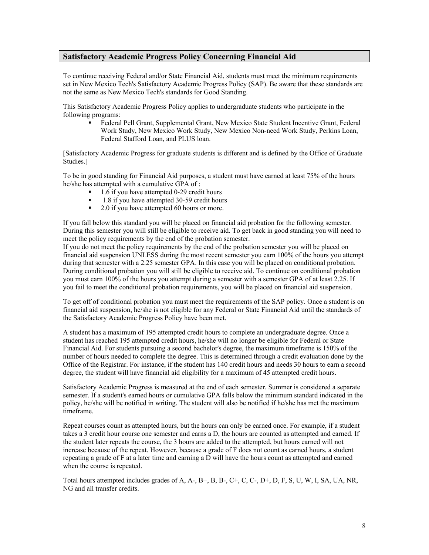# **Satisfactory Academic Progress Policy Concerning Financial Aid**

To continue receiving Federal and/or State Financial Aid, students must meet the minimum requirements set in New Mexico Tech's Satisfactory Academic Progress Policy (SAP). Be aware that these standards are not the same as New Mexico Tech's standards for Good Standing.

This Satisfactory Academic Progress Policy applies to undergraduate students who participate in the following programs:

 Federal Pell Grant, Supplemental Grant, New Mexico State Student Incentive Grant, Federal Work Study, New Mexico Work Study, New Mexico Non-need Work Study, Perkins Loan, Federal Stafford Loan, and PLUS loan.

[Satisfactory Academic Progress for graduate students is different and is defined by the Office of [Graduate](http://infohost.nmt.edu/~grad/) [Studies.](http://infohost.nmt.edu/~grad/)]

To be in good standing for Financial Aid purposes, a student must have earned at least 75% of the hours he/she has attempted with a cumulative GPA of :

- $\blacksquare$  1.6 if you have attempted 0-29 credit hours
- 1.8 if you have attempted 30-59 credit hours<br>■ 2.0 if you have attempted 60 hours or more
- 2.0 if you have attempted 60 hours or more.

If you fall below this standard you will be placed on financial aid probation for the following semester. During this semester you will still be eligible to receive aid. To get back in good standing you will need to meet the policy requirements by the end of the probation semester.

If you do not meet the policy requirements by the end of the probation semester you will be placed on financial aid suspension UNLESS during the most recent semester you earn 100% of the hours you attempt during that semester with a 2.25 semester GPA. In this case you will be placed on conditional probation. During conditional probation you will still be eligible to receive aid. To continue on conditional probation you must earn 100% of the hours you attempt during a semester with a semester GPA of at least 2.25. If you fail to meet the conditional probation requirements, you will be placed on financial aid suspension.

To get off of conditional probation you must meet the requirements of the SAP policy. Once a student is on financial aid suspension, he/she is not eligible for any Federal or State Financial Aid until the standards of the Satisfactory Academic Progress Policy have been met.

A student has a maximum of 195 attempted credit hours to complete an undergraduate degree. Once a student has reached 195 attempted credit hours, he/she will no longer be eligible for Federal or State Financial Aid. For students pursuing a second bachelor's degree, the maximum timeframe is 150% of the number of hours needed to complete the degree. This is determined through a credit evaluation done by the Office of the Registrar. For instance, if the student has 140 credit hours and needs 30 hours to earn a second degree, the student will have financial aid eligibility for a maximum of 45 attempted credit hours.

Satisfactory Academic Progress is measured at the end of each semester. Summer is considered a separate semester. If a student's earned hours or cumulative GPA falls below the minimum standard indicated in the policy, he/she will be notified in writing. The student will also be notified if he/she has met the maximum timeframe.

Repeat courses count as attempted hours, but the hours can only be earned once. For example, if a student takes a 3 credit hour course one semester and earns a D, the hours are counted as attempted and earned. If the student later repeats the course, the 3 hours are added to the attempted, but hours earned will not increase because of the repeat. However, because a grade of F does not count as earned hours, a student repeating a grade of F at a later time and earning a D will have the hours count as attempted and earned when the course is repeated.

Total hours attempted includes grades of A, A-, B+, B, B-, C+, C, C-, D+, D, F, S, U, W, I, SA, UA, NR, NG and all transfer credits.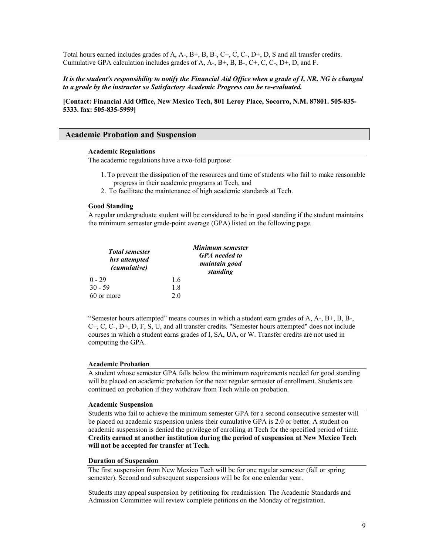Total hours earned includes grades of A, A-, B+, B, B-, C+, C, C-, D+, D, S and all transfer credits. Cumulative GPA calculation includes grades of A, A-, B+, B, B-, C+, C, C-, D+, D, and F.

# *It is the student's responsibility to notify the Financial Aid Office when a grade of I, NR, NG is changed to a grade by the instructor so Satisfactory Academic Progress can be re-evaluated.*

**[Contact: Financial Aid Office, New Mexico Tech, 801 Leroy Place, Socorro, N.M. 87801. 505-835- 5333. fax: 505-835-5959]** 

# **Academic Probation and Suspension**

#### **Academic Regulations**

The academic regulations have a two-fold purpose:

- 1.To prevent the dissipation of the resources and time of students who fail to make reasonable progress in their academic programs at Tech, and
- 2. To facilitate the maintenance of high academic standards at Tech.

#### **Good Standing**

A regular undergraduate student will be considered to be in good standing if the student maintains the minimum semester grade-point average (GPA) listed on the following page.

| <b>Total semester</b><br>hrs attempted<br>(cumulative) |                | Minimum semester<br><b>GPA</b> needed to<br>maintain good<br>standing |
|--------------------------------------------------------|----------------|-----------------------------------------------------------------------|
| $0 - 29$                                               | 16             |                                                                       |
| 30 - 59                                                | 18             |                                                                       |
| 60 or more                                             | 2 <sub>0</sub> |                                                                       |

"Semester hours attempted" means courses in which a student earn grades of A, A-, B+, B, B-, C+, C, C-, D+, D, F, S, U, and all transfer credits. "Semester hours attempted" does not include courses in which a student earns grades of I, SA, UA, or W. Transfer credits are not used in computing the GPA.

#### **Academic Probation**

A student whose semester GPA falls below the minimum requirements needed for good standing will be placed on academic probation for the next regular semester of enrollment. Students are continued on probation if they withdraw from Tech while on probation.

#### **Academic Suspension**

Students who fail to achieve the minimum semester GPA for a second consecutive semester will be placed on academic suspension unless their cumulative GPA is 2.0 or better. A student on academic suspension is denied the privilege of enrolling at Tech for the specified period of time. **Credits earned at another institution during the period of suspension at New Mexico Tech will not be accepted for transfer at Tech.**

#### **Duration of Suspension**

The first suspension from New Mexico Tech will be for one regular semester (fall or spring semester). Second and subsequent suspensions will be for one calendar year.

Students may appeal suspension by petitioning for readmission. The Academic Standards and Admission Committee will review complete petitions on the Monday of registration.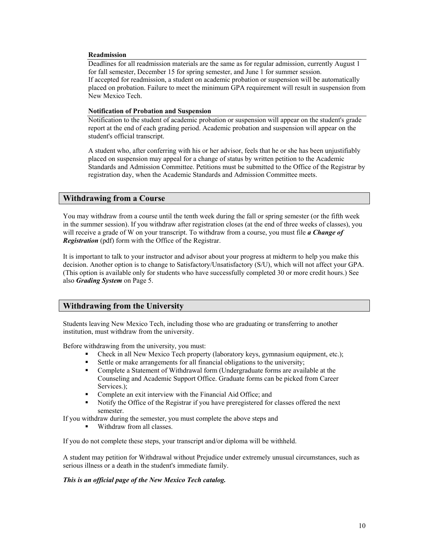#### **Readmission**

Deadlines for all readmission materials are the same as for regular admission, currently August 1 for fall semester, December 15 for spring semester, and June 1 for summer session. If accepted for readmission, a student on academic probation or suspension will be automatically placed on probation. Failure to meet the minimum GPA requirement will result in suspension from New Mexico Tech.

### **Notification of Probation and Suspension**

Notification to the student of academic probation or suspension will appear on the student's grade report at the end of each grading period. Academic probation and suspension will appear on the student's official transcript.

A student who, after conferring with his or her advisor, feels that he or she has been unjustifiably placed on suspension may appeal for a change of status by written petition to the Academic Standards and Admission Committee. Petitions must be submitted to the Office of the Registrar by registration day, when the Academic Standards and Admission Committee meets.

# **Withdrawing from a Course**

You may withdraw from a course until the tenth week during the fall or spring semester (or the fifth week in the summer session). If you withdraw after registration closes (at the end of three weeks of classes), you will receive a grade of W on your transcript. To withdraw from a course, you must file *a Change of Registration* (pdf) form with the Office of the Registrar.

It is important to talk to your instructor and advisor about your progress at midterm to help you make this decision. Another option is to change to Satisfactory/Unsatisfactory (S/U), which will not affect your GPA. (This option is available only for students who have successfully completed 30 or more credit hours.) See also *Grading System* on Page 5.

# **Withdrawing from the University**

Students leaving New Mexico Tech, including those who are graduating or transferring to another institution, must withdraw from the university.

Before withdrawing from the university, you must:

- Check in all New Mexico Tech property (laboratory keys, gymnasium equipment, etc.);
- Settle or make arrangements for all financial obligations to the university;
- Complete a Statement of Withdrawal form (Undergraduate forms are available at the Counseling and Academic Support Office. Graduate forms can be picked from Career Services.):
- Complete an exit interview with the Financial Aid Office; and
- Notify the Office of the Registrar if you have preregistered for classes offered the next semester.

If you withdraw during the semester, you must complete the above steps and

Withdraw from all classes.

If you do not complete these steps, your transcript and/or diploma will be withheld.

A student may petition for Withdrawal without Prejudice under extremely unusual circumstances, such as serious illness or a death in the student's immediate family.

#### *This is an official page of the New Mexico Tech catalog.*